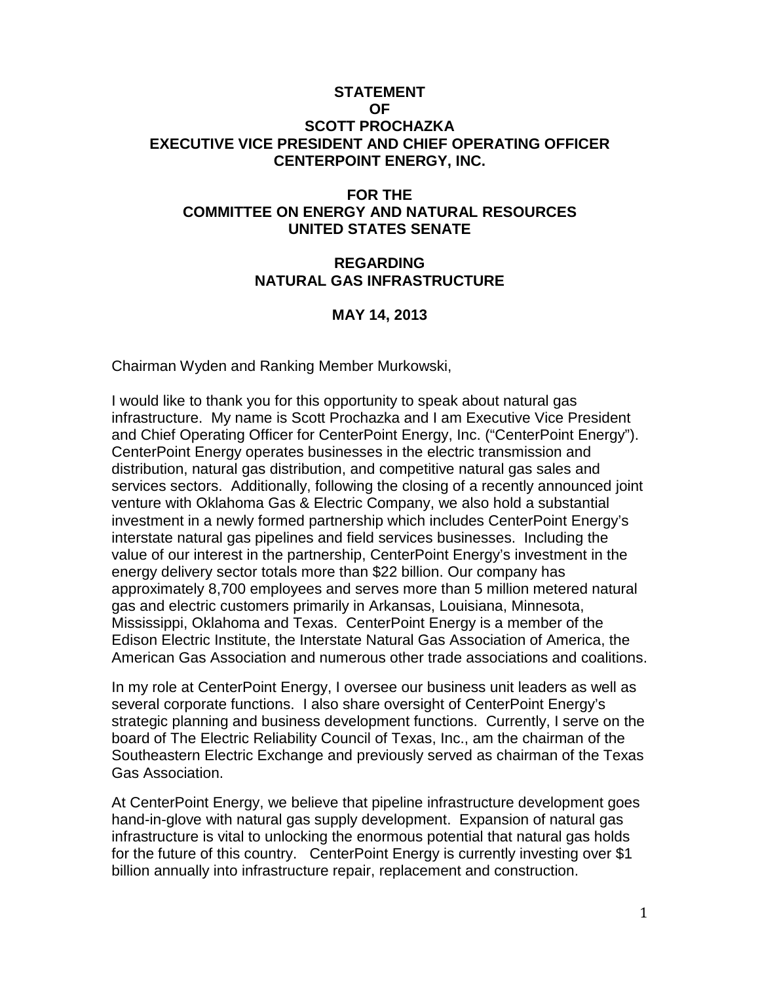### **STATEMENT OF SCOTT PROCHAZKA EXECUTIVE VICE PRESIDENT AND CHIEF OPERATING OFFICER CENTERPOINT ENERGY, INC.**

## **FOR THE COMMITTEE ON ENERGY AND NATURAL RESOURCES UNITED STATES SENATE**

#### **REGARDING NATURAL GAS INFRASTRUCTURE**

### **MAY 14, 2013**

Chairman Wyden and Ranking Member Murkowski,

I would like to thank you for this opportunity to speak about natural gas infrastructure. My name is Scott Prochazka and I am Executive Vice President and Chief Operating Officer for CenterPoint Energy, Inc. ("CenterPoint Energy"). CenterPoint Energy operates businesses in the electric transmission and distribution, natural gas distribution, and competitive natural gas sales and services sectors. Additionally, following the closing of a recently announced joint venture with Oklahoma Gas & Electric Company, we also hold a substantial investment in a newly formed partnership which includes CenterPoint Energy's interstate natural gas pipelines and field services businesses. Including the value of our interest in the partnership, CenterPoint Energy's investment in the energy delivery sector totals more than \$22 billion. Our company has approximately 8,700 employees and serves more than 5 million metered natural gas and electric customers primarily in Arkansas, Louisiana, Minnesota, Mississippi, Oklahoma and Texas. CenterPoint Energy is a member of the Edison Electric Institute, the Interstate Natural Gas Association of America, the American Gas Association and numerous other trade associations and coalitions.

In my role at CenterPoint Energy, I oversee our business unit leaders as well as several corporate functions. I also share oversight of CenterPoint Energy's strategic planning and business development functions. Currently, I serve on the board of The Electric Reliability Council of Texas, Inc., am the chairman of the Southeastern Electric Exchange and previously served as chairman of the Texas Gas Association.

At CenterPoint Energy, we believe that pipeline infrastructure development goes hand-in-glove with natural gas supply development. Expansion of natural gas infrastructure is vital to unlocking the enormous potential that natural gas holds for the future of this country. CenterPoint Energy is currently investing over \$1 billion annually into infrastructure repair, replacement and construction.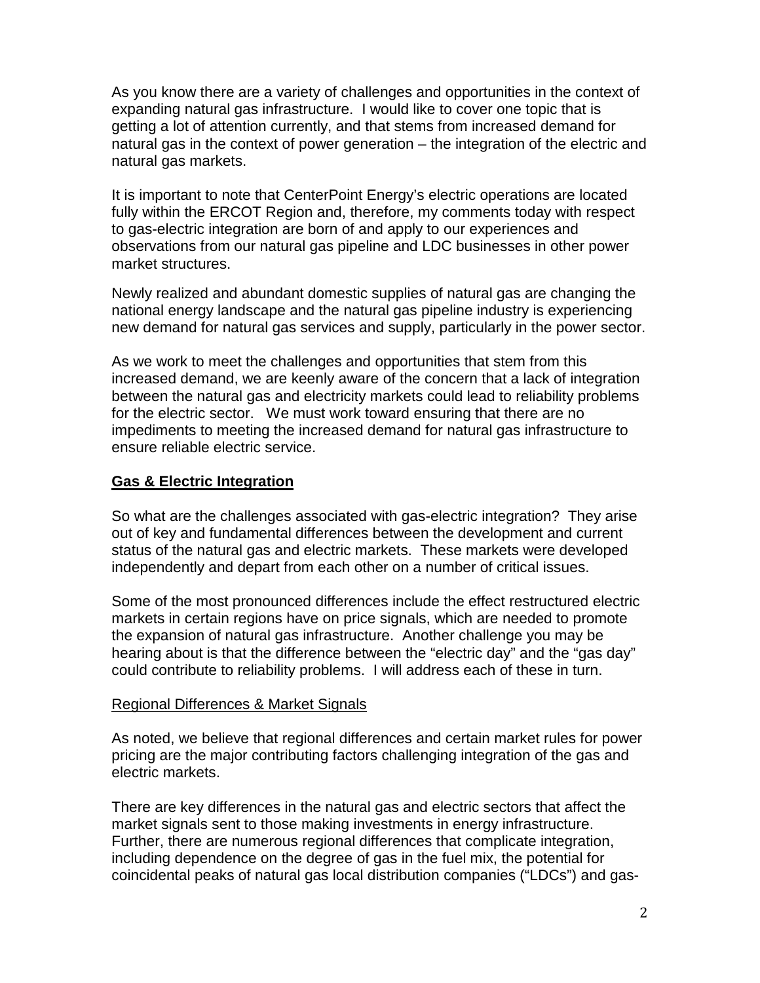As you know there are a variety of challenges and opportunities in the context of expanding natural gas infrastructure. I would like to cover one topic that is getting a lot of attention currently, and that stems from increased demand for natural gas in the context of power generation – the integration of the electric and natural gas markets.

It is important to note that CenterPoint Energy's electric operations are located fully within the ERCOT Region and, therefore, my comments today with respect to gas-electric integration are born of and apply to our experiences and observations from our natural gas pipeline and LDC businesses in other power market structures.

Newly realized and abundant domestic supplies of natural gas are changing the national energy landscape and the natural gas pipeline industry is experiencing new demand for natural gas services and supply, particularly in the power sector.

As we work to meet the challenges and opportunities that stem from this increased demand, we are keenly aware of the concern that a lack of integration between the natural gas and electricity markets could lead to reliability problems for the electric sector. We must work toward ensuring that there are no impediments to meeting the increased demand for natural gas infrastructure to ensure reliable electric service.

### **Gas & Electric Integration**

So what are the challenges associated with gas-electric integration? They arise out of key and fundamental differences between the development and current status of the natural gas and electric markets. These markets were developed independently and depart from each other on a number of critical issues.

Some of the most pronounced differences include the effect restructured electric markets in certain regions have on price signals, which are needed to promote the expansion of natural gas infrastructure. Another challenge you may be hearing about is that the difference between the "electric day" and the "gas day" could contribute to reliability problems. I will address each of these in turn.

#### Regional Differences & Market Signals

As noted, we believe that regional differences and certain market rules for power pricing are the major contributing factors challenging integration of the gas and electric markets.

There are key differences in the natural gas and electric sectors that affect the market signals sent to those making investments in energy infrastructure. Further, there are numerous regional differences that complicate integration, including dependence on the degree of gas in the fuel mix, the potential for coincidental peaks of natural gas local distribution companies ("LDCs") and gas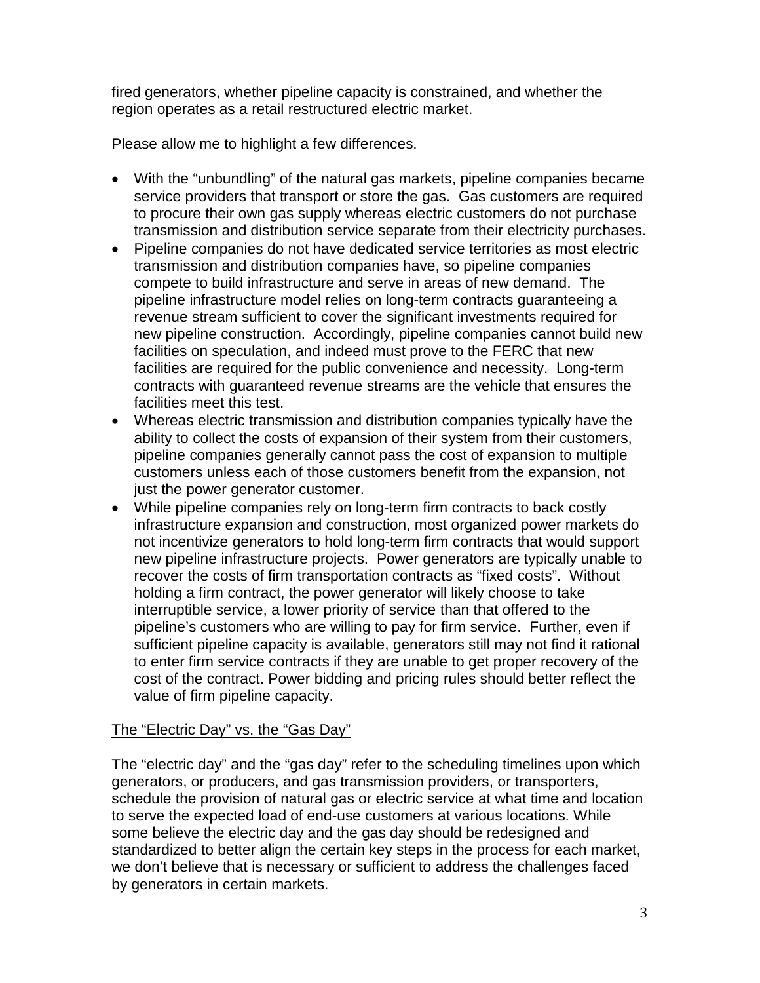fired generators, whether pipeline capacity is constrained, and whether the region operates as a retail restructured electric market.

Please allow me to highlight a few differences.

- With the "unbundling" of the natural gas markets, pipeline companies became service providers that transport or store the gas. Gas customers are required to procure their own gas supply whereas electric customers do not purchase transmission and distribution service separate from their electricity purchases.
- Pipeline companies do not have dedicated service territories as most electric transmission and distribution companies have, so pipeline companies compete to build infrastructure and serve in areas of new demand. The pipeline infrastructure model relies on long-term contracts guaranteeing a revenue stream sufficient to cover the significant investments required for new pipeline construction. Accordingly, pipeline companies cannot build new facilities on speculation, and indeed must prove to the FERC that new facilities are required for the public convenience and necessity. Long-term contracts with guaranteed revenue streams are the vehicle that ensures the facilities meet this test.
- Whereas electric transmission and distribution companies typically have the ability to collect the costs of expansion of their system from their customers, pipeline companies generally cannot pass the cost of expansion to multiple customers unless each of those customers benefit from the expansion, not just the power generator customer.
- While pipeline companies rely on long-term firm contracts to back costly infrastructure expansion and construction, most organized power markets do not incentivize generators to hold long-term firm contracts that would support new pipeline infrastructure projects. Power generators are typically unable to recover the costs of firm transportation contracts as "fixed costs". Without holding a firm contract, the power generator will likely choose to take interruptible service, a lower priority of service than that offered to the pipeline's customers who are willing to pay for firm service. Further, even if sufficient pipeline capacity is available, generators still may not find it rational to enter firm service contracts if they are unable to get proper recovery of the cost of the contract. Power bidding and pricing rules should better reflect the value of firm pipeline capacity.

# The "Electric Day" vs. the "Gas Day"

The "electric day" and the "gas day" refer to the scheduling timelines upon which generators, or producers, and gas transmission providers, or transporters, schedule the provision of natural gas or electric service at what time and location to serve the expected load of end-use customers at various locations. While some believe the electric day and the gas day should be redesigned and standardized to better align the certain key steps in the process for each market, we don't believe that is necessary or sufficient to address the challenges faced by generators in certain markets.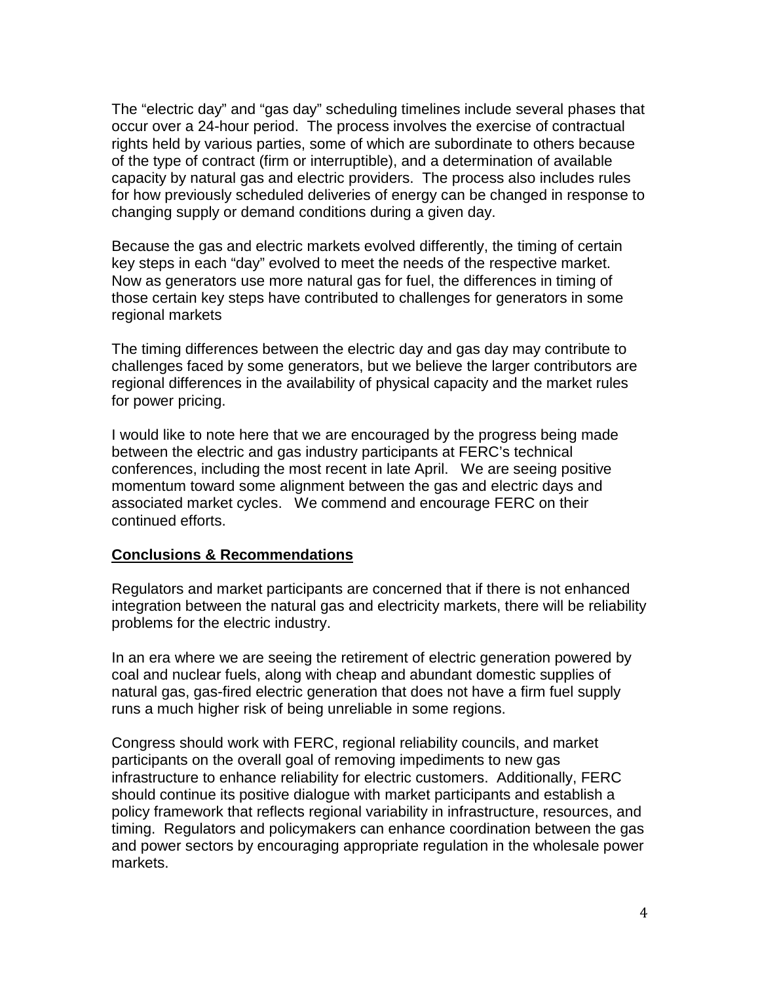The "electric day" and "gas day" scheduling timelines include several phases that occur over a 24-hour period. The process involves the exercise of contractual rights held by various parties, some of which are subordinate to others because of the type of contract (firm or interruptible), and a determination of available capacity by natural gas and electric providers. The process also includes rules for how previously scheduled deliveries of energy can be changed in response to changing supply or demand conditions during a given day.

Because the gas and electric markets evolved differently, the timing of certain key steps in each "day" evolved to meet the needs of the respective market. Now as generators use more natural gas for fuel, the differences in timing of those certain key steps have contributed to challenges for generators in some regional markets

The timing differences between the electric day and gas day may contribute to challenges faced by some generators, but we believe the larger contributors are regional differences in the availability of physical capacity and the market rules for power pricing.

I would like to note here that we are encouraged by the progress being made between the electric and gas industry participants at FERC's technical conferences, including the most recent in late April. We are seeing positive momentum toward some alignment between the gas and electric days and associated market cycles. We commend and encourage FERC on their continued efforts.

### **Conclusions & Recommendations**

Regulators and market participants are concerned that if there is not enhanced integration between the natural gas and electricity markets, there will be reliability problems for the electric industry.

In an era where we are seeing the retirement of electric generation powered by coal and nuclear fuels, along with cheap and abundant domestic supplies of natural gas, gas-fired electric generation that does not have a firm fuel supply runs a much higher risk of being unreliable in some regions.

Congress should work with FERC, regional reliability councils, and market participants on the overall goal of removing impediments to new gas infrastructure to enhance reliability for electric customers. Additionally, FERC should continue its positive dialogue with market participants and establish a policy framework that reflects regional variability in infrastructure, resources, and timing. Regulators and policymakers can enhance coordination between the gas and power sectors by encouraging appropriate regulation in the wholesale power markets.